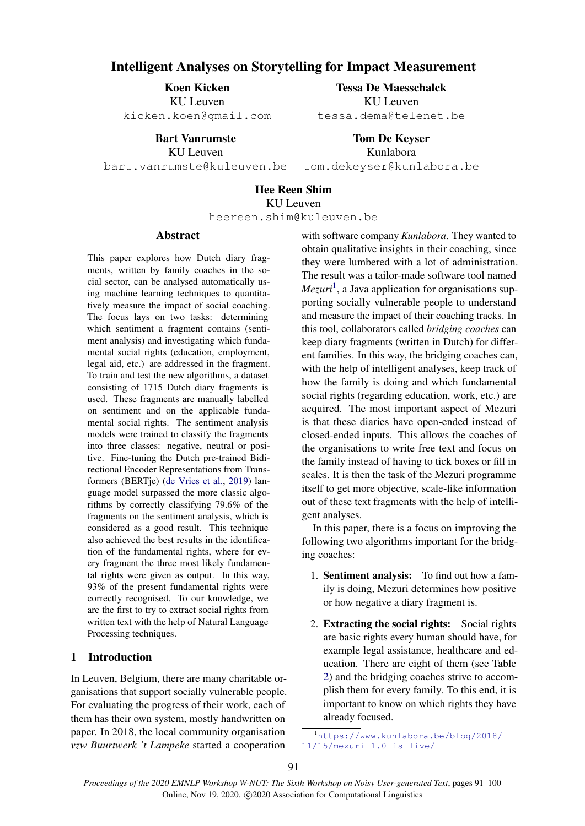# Intelligent Analyses on Storytelling for Impact Measurement

Koen Kicken KU Leuven kicken.koen@gmail.com

> Bart Vanrumste KII Leuven

bart.vanrumste@kuleuven.be

Tessa De Maesschalck KU Leuven tessa.dema@telenet.be

> Tom De Keyser Kunlabora

tom.dekeyser@kunlabora.be

# Hee Reen Shim KU Leuven

heereen.shim@kuleuven.be

#### Abstract

This paper explores how Dutch diary fragments, written by family coaches in the social sector, can be analysed automatically using machine learning techniques to quantitatively measure the impact of social coaching. The focus lays on two tasks: determining which sentiment a fragment contains (sentiment analysis) and investigating which fundamental social rights (education, employment, legal aid, etc.) are addressed in the fragment. To train and test the new algorithms, a dataset consisting of 1715 Dutch diary fragments is used. These fragments are manually labelled on sentiment and on the applicable fundamental social rights. The sentiment analysis models were trained to classify the fragments into three classes: negative, neutral or positive. Fine-tuning the Dutch pre-trained Bidirectional Encoder Representations from Transformers (BERTje) [\(de Vries et al.,](#page-9-0) [2019\)](#page-9-0) language model surpassed the more classic algorithms by correctly classifying 79.6% of the fragments on the sentiment analysis, which is considered as a good result. This technique also achieved the best results in the identification of the fundamental rights, where for every fragment the three most likely fundamental rights were given as output. In this way, 93% of the present fundamental rights were correctly recognised. To our knowledge, we are the first to try to extract social rights from written text with the help of Natural Language Processing techniques.

## 1 Introduction

In Leuven, Belgium, there are many charitable organisations that support socially vulnerable people. For evaluating the progress of their work, each of them has their own system, mostly handwritten on paper. In 2018, the local community organisation *vzw Buurtwerk 't Lampeke* started a cooperation

with software company *Kunlabora*. They wanted to obtain qualitative insights in their coaching, since they were lumbered with a lot of administration. The result was a tailor-made software tool named *Mezuri*[1](#page-0-0) , a Java application for organisations supporting socially vulnerable people to understand and measure the impact of their coaching tracks. In this tool, collaborators called *bridging coaches* can keep diary fragments (written in Dutch) for different families. In this way, the bridging coaches can, with the help of intelligent analyses, keep track of how the family is doing and which fundamental social rights (regarding education, work, etc.) are acquired. The most important aspect of Mezuri is that these diaries have open-ended instead of closed-ended inputs. This allows the coaches of the organisations to write free text and focus on the family instead of having to tick boxes or fill in scales. It is then the task of the Mezuri programme itself to get more objective, scale-like information out of these text fragments with the help of intelligent analyses.

In this paper, there is a focus on improving the following two algorithms important for the bridging coaches:

- 1. Sentiment analysis: To find out how a family is doing, Mezuri determines how positive or how negative a diary fragment is.
- 2. Extracting the social rights: Social rights are basic rights every human should have, for example legal assistance, healthcare and education. There are eight of them (see Table [2\)](#page-3-0) and the bridging coaches strive to accomplish them for every family. To this end, it is important to know on which rights they have already focused.

<span id="page-0-0"></span><sup>1</sup>[https://www.kunlabora.be/blog/2018/](https://www.kunlabora.be/blog/2018/11/15/mezuri-1.0-is-live/) [11/15/mezuri-1.0-is-live/](https://www.kunlabora.be/blog/2018/11/15/mezuri-1.0-is-live/)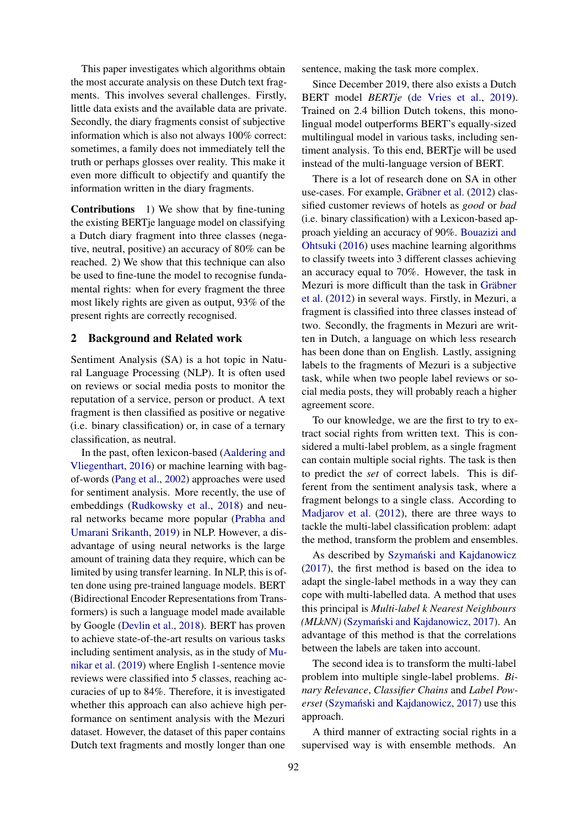This paper investigates which algorithms obtain the most accurate analysis on these Dutch text fragments. This involves several challenges. Firstly, little data exists and the available data are private. Secondly, the diary fragments consist of subjective information which is also not always 100% correct: sometimes, a family does not immediately tell the truth or perhaps glosses over reality. This make it even more difficult to objectify and quantify the information written in the diary fragments.

Contributions 1) We show that by fine-tuning the existing BERTje language model on classifying a Dutch diary fragment into three classes (negative, neutral, positive) an accuracy of 80% can be reached. 2) We show that this technique can also be used to fine-tune the model to recognise fundamental rights: when for every fragment the three most likely rights are given as output, 93% of the present rights are correctly recognised.

# <span id="page-1-0"></span>2 Background and Related work

Sentiment Analysis (SA) is a hot topic in Natural Language Processing (NLP). It is often used on reviews or social media posts to monitor the reputation of a service, person or product. A text fragment is then classified as positive or negative (i.e. binary classification) or, in case of a ternary classification, as neutral.

In the past, often lexicon-based [\(Aaldering and](#page-8-0) [Vliegenthart,](#page-8-0) [2016\)](#page-8-0) or machine learning with bagof-words [\(Pang et al.,](#page-8-1) [2002\)](#page-8-1) approaches were used for sentiment analysis. More recently, the use of embeddings [\(Rudkowsky et al.,](#page-8-2) [2018\)](#page-8-2) and neural networks became more popular [\(Prabha and](#page-8-3) [Umarani Srikanth,](#page-8-3) [2019\)](#page-8-3) in NLP. However, a disadvantage of using neural networks is the large amount of training data they require, which can be limited by using transfer learning. In NLP, this is often done using pre-trained language models. BERT (Bidirectional Encoder Representations from Transformers) is such a language model made available by Google [\(Devlin et al.,](#page-8-4) [2018\)](#page-8-4). BERT has proven to achieve state-of-the-art results on various tasks including sentiment analysis, as in the study of [Mu](#page-8-5)[nikar et al.](#page-8-5) [\(2019\)](#page-8-5) where English 1-sentence movie reviews were classified into 5 classes, reaching accuracies of up to 84%. Therefore, it is investigated whether this approach can also achieve high performance on sentiment analysis with the Mezuri dataset. However, the dataset of this paper contains Dutch text fragments and mostly longer than one

sentence, making the task more complex.

Since December 2019, there also exists a Dutch BERT model *BERTje* [\(de Vries et al.,](#page-9-0) [2019\)](#page-9-0). Trained on 2.4 billion Dutch tokens, this monolingual model outperforms BERT's equally-sized multilingual model in various tasks, including sentiment analysis. To this end, BERTje will be used instead of the multi-language version of BERT.

There is a lot of research done on SA in other use-cases. For example, Gräbner et al.  $(2012)$  classified customer reviews of hotels as *good* or *bad* (i.e. binary classification) with a Lexicon-based approach yielding an accuracy of 90%. [Bouazizi and](#page-8-7) [Ohtsuki](#page-8-7) [\(2016\)](#page-8-7) uses machine learning algorithms to classify tweets into 3 different classes achieving an accuracy equal to 70%. However, the task in Mezuri is more difficult than the task in Gräbner [et al.](#page-8-6) [\(2012\)](#page-8-6) in several ways. Firstly, in Mezuri, a fragment is classified into three classes instead of two. Secondly, the fragments in Mezuri are written in Dutch, a language on which less research has been done than on English. Lastly, assigning labels to the fragments of Mezuri is a subjective task, while when two people label reviews or social media posts, they will probably reach a higher agreement score.

To our knowledge, we are the first to try to extract social rights from written text. This is considered a multi-label problem, as a single fragment can contain multiple social rights. The task is then to predict the *set* of correct labels. This is different from the sentiment analysis task, where a fragment belongs to a single class. According to [Madjarov et al.](#page-8-8) [\(2012\)](#page-8-8), there are three ways to tackle the multi-label classification problem: adapt the method, transform the problem and ensembles.

As described by Szymański and Kajdanowicz [\(2017\)](#page-8-9), the first method is based on the idea to adapt the single-label methods in a way they can cope with multi-labelled data. A method that uses this principal is *Multi-label k Nearest Neighbours (MLkNN)* (Szymański and Kajdanowicz, [2017\)](#page-8-9). An advantage of this method is that the correlations between the labels are taken into account.

The second idea is to transform the multi-label problem into multiple single-label problems. *Binary Relevance*, *Classifier Chains* and *Label Powerset* (Szymański and Kajdanowicz, [2017\)](#page-8-9) use this approach.

A third manner of extracting social rights in a supervised way is with ensemble methods. An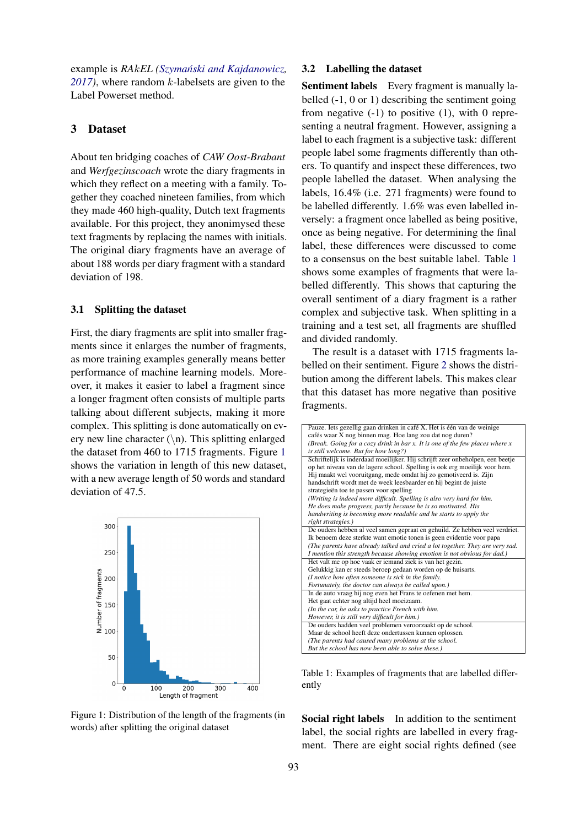example is *RA*k*EL [\(Szymanski and Kajdanowicz](#page-8-9) ´ , [2017\)](#page-8-9)*, where random k-labelsets are given to the Label Powerset method.

## 3 Dataset

About ten bridging coaches of *CAW Oost-Brabant* and *Werfgezinscoach* wrote the diary fragments in which they reflect on a meeting with a family. Together they coached nineteen families, from which they made 460 high-quality, Dutch text fragments available. For this project, they anonimysed these text fragments by replacing the names with initials. The original diary fragments have an average of about 188 words per diary fragment with a standard deviation of 198.

## 3.1 Splitting the dataset

First, the diary fragments are split into smaller fragments since it enlarges the number of fragments, as more training examples generally means better performance of machine learning models. Moreover, it makes it easier to label a fragment since a longer fragment often consists of multiple parts talking about different subjects, making it more complex. This splitting is done automatically on every new line character  $(\n\cdot n)$ . This splitting enlarged the dataset from 460 to 1715 fragments. Figure [1](#page-2-0) shows the variation in length of this new dataset, with a new average length of 50 words and standard deviation of 47.5.

<span id="page-2-0"></span>

Figure 1: Distribution of the length of the fragments (in words) after splitting the original dataset

#### 3.2 Labelling the dataset

Sentiment labels Every fragment is manually labelled (-1, 0 or 1) describing the sentiment going from negative  $(-1)$  to positive  $(1)$ , with 0 representing a neutral fragment. However, assigning a label to each fragment is a subjective task: different people label some fragments differently than others. To quantify and inspect these differences, two people labelled the dataset. When analysing the labels, 16.4% (i.e. 271 fragments) were found to be labelled differently. 1.6% was even labelled inversely: a fragment once labelled as being positive, once as being negative. For determining the final label, these differences were discussed to come to a consensus on the best suitable label. Table [1](#page-2-1) shows some examples of fragments that were labelled differently. This shows that capturing the overall sentiment of a diary fragment is a rather complex and subjective task. When splitting in a training and a test set, all fragments are shuffled and divided randomly.

The result is a dataset with 1715 fragments labelled on their sentiment. Figure [2](#page-3-1) shows the distribution among the different labels. This makes clear that this dataset has more negative than positive fragments.

<span id="page-2-1"></span>

| Pauze. Iets gezellig gaan drinken in café X. Het is één van de weinige         |
|--------------------------------------------------------------------------------|
| cafés waar X nog binnen mag. Hoe lang zou dat nog duren?                       |
| (Break. Going for a cozy drink in bar x. It is one of the few places where $x$ |
| is still welcome. But for how long?)                                           |
| Schriftelijk is inderdaad moeilijker. Hij schrijft zeer onbeholpen, een beetje |
| op het niveau van de lagere school. Spelling is ook erg moeilijk voor hem.     |
| Hij maakt wel vooruitgang, mede omdat hij zo gemotiveerd is. Zijn              |
| handschrift wordt met de week leesbaarder en hij begint de juiste              |
| strategieën toe te passen voor spelling                                        |
| (Writing is indeed more difficult. Spelling is also very hard for him.         |
| He does make progress, partly because he is so motivated. His                  |
| handwriting is becoming more readable and he starts to apply the               |
| right strategies.)                                                             |
| De ouders hebben al veel samen gepraat en gehuild. Ze hebben veel verdriet.    |
| Ik benoem deze sterkte want emotie tonen is geen evidentie voor papa           |
| (The parents have already talked and cried a lot together. They are very sad.  |
| I mention this strength because showing emotion is not obvious for dad.)       |
| Het valt me op hoe vaak er iemand ziek is van het gezin.                       |
| Gelukkig kan er steeds beroep gedaan worden op de huisarts.                    |
| (I notice how often someone is sick in the family.                             |
| Fortunately, the doctor can always be called upon.)                            |
| In de auto vraag hij nog even het Frans te oefenen met hem.                    |
| Het gaat echter nog altijd heel moeizaam.                                      |
| (In the car, he asks to practice French with him.                              |
| However, it is still very difficult for him.)                                  |
| De ouders hadden veel problemen veroorzaakt op de school.                      |
| Maar de school heeft deze ondertussen kunnen oplossen.                         |
| (The parents had caused many problems at the school.                           |
| But the school has now been able to solve these.)                              |
|                                                                                |

Table 1: Examples of fragments that are labelled differently

Social right labels In addition to the sentiment label, the social rights are labelled in every fragment. There are eight social rights defined (see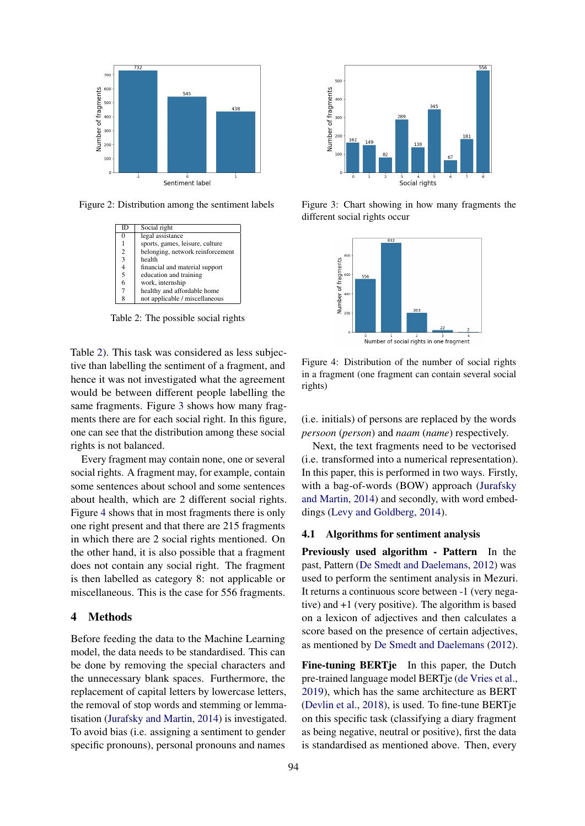<span id="page-3-1"></span>

<span id="page-3-0"></span>Figure 2: Distribution among the sentiment labels

| ID             | Social right                     |
|----------------|----------------------------------|
| 0              | legal assistance                 |
|                | sports, games, leisure, culture  |
| $\overline{c}$ | belonging, network reinforcement |
| 3              | health                           |
| 4              | financial and material support   |
| 5              | education and training           |
| 6              | work, internship                 |
|                | healthy and affordable home      |
| 8              | not applicable / miscellaneous   |

Table 2: The possible social rights

Table [2\)](#page-3-0). This task was considered as less subjective than labelling the sentiment of a fragment, and hence it was not investigated what the agreement would be between different people labelling the same fragments. Figure [3](#page-3-2) shows how many fragments there are for each social right. In this figure, one can see that the distribution among these social rights is not balanced.

Every fragment may contain none, one or several social rights. A fragment may, for example, contain some sentences about school and some sentences about health, which are 2 different social rights. Figure [4](#page-3-3) shows that in most fragments there is only one right present and that there are 215 fragments in which there are 2 social rights mentioned. On the other hand, it is also possible that a fragment does not contain any social right. The fragment is then labelled as category 8: not applicable or miscellaneous. This is the case for 556 fragments.

## 4 Methods

Before feeding the data to the Machine Learning model, the data needs to be standardised. This can be done by removing the special characters and the unnecessary blank spaces. Furthermore, the replacement of capital letters by lowercase letters, the removal of stop words and stemming or lemmatisation [\(Jurafsky and Martin,](#page-8-10) [2014\)](#page-8-10) is investigated. To avoid bias (i.e. assigning a sentiment to gender specific pronouns), personal pronouns and names

<span id="page-3-2"></span>

Figure 3: Chart showing in how many fragments the different social rights occur

<span id="page-3-3"></span>

Figure 4: Distribution of the number of social rights in a fragment (one fragment can contain several social rights)

(i.e. initials) of persons are replaced by the words *persoon* (*person*) and *naam* (*name*) respectively.

Next, the text fragments need to be vectorised (i.e. transformed into a numerical representation). In this paper, this is performed in two ways. Firstly, with a bag-of-words (BOW) approach [\(Jurafsky](#page-8-10) [and Martin,](#page-8-10) [2014\)](#page-8-10) and secondly, with word embeddings [\(Levy and Goldberg,](#page-8-11) [2014\)](#page-8-11).

## 4.1 Algorithms for sentiment analysis

Previously used algorithm - Pattern In the past, Pattern [\(De Smedt and Daelemans,](#page-8-12) [2012\)](#page-8-12) was used to perform the sentiment analysis in Mezuri. It returns a continuous score between -1 (very negative) and +1 (very positive). The algorithm is based on a lexicon of adjectives and then calculates a score based on the presence of certain adjectives, as mentioned by [De Smedt and Daelemans](#page-8-12) [\(2012\)](#page-8-12).

Fine-tuning BERTje In this paper, the Dutch pre-trained language model BERTje [\(de Vries et al.,](#page-9-0) [2019\)](#page-9-0), which has the same architecture as BERT [\(Devlin et al.,](#page-8-4) [2018\)](#page-8-4), is used. To fine-tune BERTje on this specific task (classifying a diary fragment as being negative, neutral or positive), first the data is standardised as mentioned above. Then, every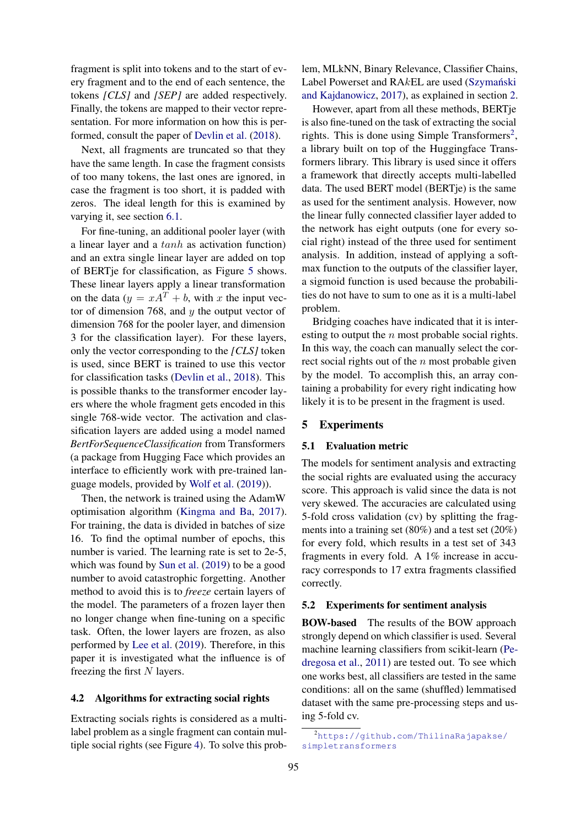fragment is split into tokens and to the start of every fragment and to the end of each sentence, the tokens *[CLS]* and *[SEP]* are added respectively. Finally, the tokens are mapped to their vector representation. For more information on how this is performed, consult the paper of [Devlin et al.](#page-8-4) [\(2018\)](#page-8-4).

Next, all fragments are truncated so that they have the same length. In case the fragment consists of too many tokens, the last ones are ignored, in case the fragment is too short, it is padded with zeros. The ideal length for this is examined by varying it, see section [6.1.](#page-6-0)

For fine-tuning, an additional pooler layer (with a linear layer and a tanh as activation function) and an extra single linear layer are added on top of BERTje for classification, as Figure [5](#page-5-0) shows. These linear layers apply a linear transformation on the data ( $y = xA^{T} + b$ , with x the input vector of dimension 768, and  $y$  the output vector of dimension 768 for the pooler layer, and dimension 3 for the classification layer). For these layers, only the vector corresponding to the *[CLS]* token is used, since BERT is trained to use this vector for classification tasks [\(Devlin et al.,](#page-8-4) [2018\)](#page-8-4). This is possible thanks to the transformer encoder layers where the whole fragment gets encoded in this single 768-wide vector. The activation and classification layers are added using a model named *BertForSequenceClassification* from Transformers (a package from Hugging Face which provides an interface to efficiently work with pre-trained language models, provided by [Wolf et al.](#page-9-1) [\(2019\)](#page-9-1)).

Then, the network is trained using the AdamW optimisation algorithm [\(Kingma and Ba,](#page-8-13) [2017\)](#page-8-13). For training, the data is divided in batches of size 16. To find the optimal number of epochs, this number is varied. The learning rate is set to 2e-5, which was found by [Sun et al.](#page-8-14) [\(2019\)](#page-8-14) to be a good number to avoid catastrophic forgetting. Another method to avoid this is to *freeze* certain layers of the model. The parameters of a frozen layer then no longer change when fine-tuning on a specific task. Often, the lower layers are frozen, as also performed by [Lee et al.](#page-8-15) [\(2019\)](#page-8-15). Therefore, in this paper it is investigated what the influence is of freezing the first  $N$  layers.

#### 4.2 Algorithms for extracting social rights

Extracting socials rights is considered as a multilabel problem as a single fragment can contain multiple social rights (see Figure [4\)](#page-3-3). To solve this prob-

lem, MLkNN, Binary Relevance, Classifier Chains, Label Powerset and  $RAkEL$  are used (Szymański [and Kajdanowicz,](#page-8-9) [2017\)](#page-8-9), as explained in section [2.](#page-1-0)

However, apart from all these methods, BERTje is also fine-tuned on the task of extracting the social rights. This is done using Simple Transformers<sup>[2](#page-4-0)</sup>, a library built on top of the Huggingface Transformers library. This library is used since it offers a framework that directly accepts multi-labelled data. The used BERT model (BERTje) is the same as used for the sentiment analysis. However, now the linear fully connected classifier layer added to the network has eight outputs (one for every social right) instead of the three used for sentiment analysis. In addition, instead of applying a softmax function to the outputs of the classifier layer, a sigmoid function is used because the probabilities do not have to sum to one as it is a multi-label problem.

Bridging coaches have indicated that it is interesting to output the  $n$  most probable social rights. In this way, the coach can manually select the correct social rights out of the  $n$  most probable given by the model. To accomplish this, an array containing a probability for every right indicating how likely it is to be present in the fragment is used.

#### 5 Experiments

### 5.1 Evaluation metric

The models for sentiment analysis and extracting the social rights are evaluated using the accuracy score. This approach is valid since the data is not very skewed. The accuracies are calculated using 5-fold cross validation (cv) by splitting the fragments into a training set (80%) and a test set (20%) for every fold, which results in a test set of 343 fragments in every fold. A 1% increase in accuracy corresponds to 17 extra fragments classified correctly.

## 5.2 Experiments for sentiment analysis

BOW-based The results of the BOW approach strongly depend on which classifier is used. Several machine learning classifiers from scikit-learn [\(Pe](#page-8-16)[dregosa et al.,](#page-8-16) [2011\)](#page-8-16) are tested out. To see which one works best, all classifiers are tested in the same conditions: all on the same (shuffled) lemmatised dataset with the same pre-processing steps and using 5-fold cv.

<span id="page-4-0"></span><sup>2</sup>[https://github.com/ThilinaRajapakse/]( https://github.com/ThilinaRajapakse/simpletransformers) [simpletransformers]( https://github.com/ThilinaRajapakse/simpletransformers)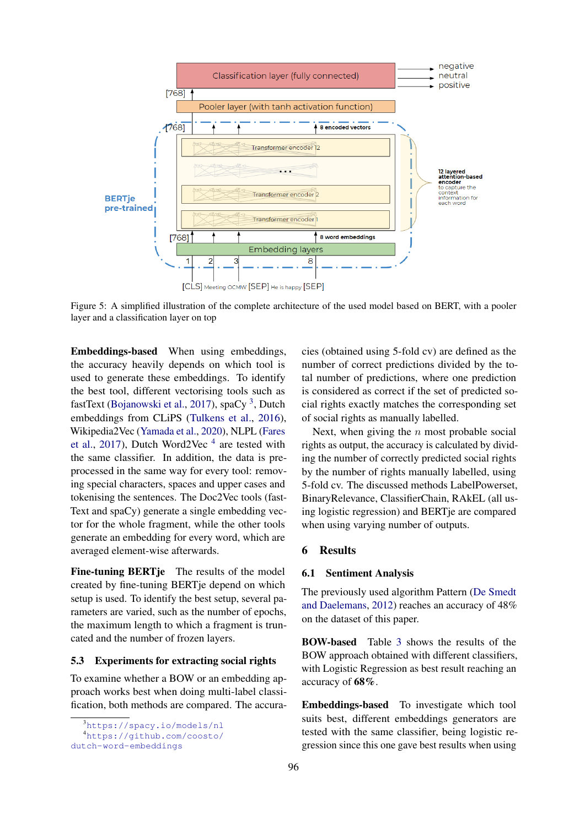<span id="page-5-0"></span>

Figure 5: A simplified illustration of the complete architecture of the used model based on BERT, with a pooler layer and a classification layer on top

Embeddings-based When using embeddings, the accuracy heavily depends on which tool is used to generate these embeddings. To identify the best tool, different vectorising tools such as fastText [\(Bojanowski et al.,](#page-8-17) [2017\)](#page-8-17), spaCy<sup>[3](#page-5-1)</sup>, Dutch embeddings from CLiPS [\(Tulkens et al.,](#page-8-18) [2016\)](#page-8-18), Wikipedia2Vec [\(Yamada et al.,](#page-9-2) [2020\)](#page-9-2), NLPL [\(Fares](#page-8-19) [et al.,](#page-8-19) [2017\)](#page-8-19), Dutch Word2Vec  $<sup>4</sup>$  $<sup>4</sup>$  $<sup>4</sup>$  are tested with</sup> the same classifier. In addition, the data is preprocessed in the same way for every tool: removing special characters, spaces and upper cases and tokenising the sentences. The Doc2Vec tools (fast-Text and spaCy) generate a single embedding vector for the whole fragment, while the other tools generate an embedding for every word, which are averaged element-wise afterwards.

Fine-tuning BERTje The results of the model created by fine-tuning BERTje depend on which setup is used. To identify the best setup, several parameters are varied, such as the number of epochs, the maximum length to which a fragment is truncated and the number of frozen layers.

## 5.3 Experiments for extracting social rights

To examine whether a BOW or an embedding approach works best when doing multi-label classification, both methods are compared. The accura-

cies (obtained using 5-fold cv) are defined as the number of correct predictions divided by the total number of predictions, where one prediction is considered as correct if the set of predicted social rights exactly matches the corresponding set of social rights as manually labelled.

Next, when giving the  $n$  most probable social rights as output, the accuracy is calculated by dividing the number of correctly predicted social rights by the number of rights manually labelled, using 5-fold cv. The discussed methods LabelPowerset, BinaryRelevance, ClassifierChain, RAkEL (all using logistic regression) and BERTje are compared when using varying number of outputs.

## 6 Results

## 6.1 Sentiment Analysis

The previously used algorithm Pattern [\(De Smedt](#page-8-12) [and Daelemans,](#page-8-12) [2012\)](#page-8-12) reaches an accuracy of 48% on the dataset of this paper.

BOW-based Table [3](#page-6-1) shows the results of the BOW approach obtained with different classifiers, with Logistic Regression as best result reaching an accuracy of 68%.

Embeddings-based To investigate which tool suits best, different embeddings generators are tested with the same classifier, being logistic regression since this one gave best results when using

<span id="page-5-1"></span><sup>3</sup><https://spacy.io/models/nl>

<span id="page-5-2"></span><sup>4</sup>[https://github.com/coosto/](https://github.com/coosto/dutch-word-embeddings)

[dutch-word-embeddings](https://github.com/coosto/dutch-word-embeddings)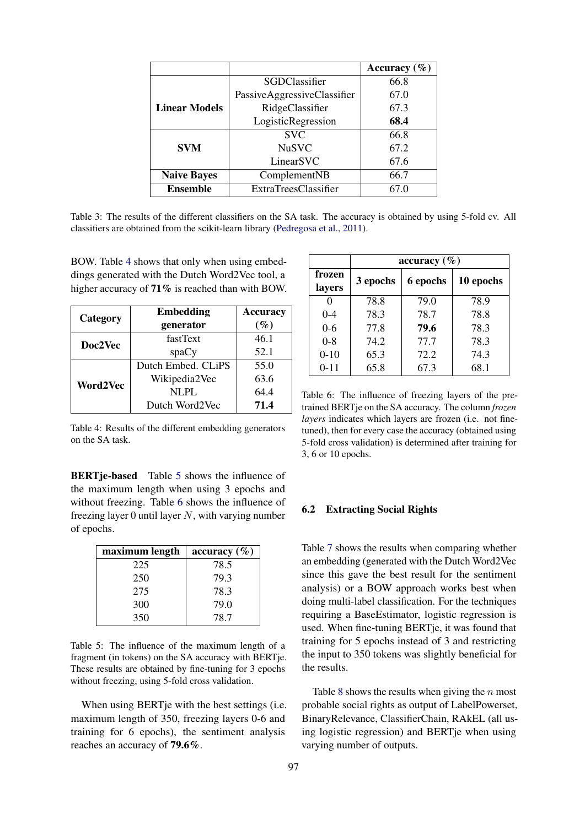<span id="page-6-1"></span>

|                      |                             | Accuracy $(\% )$ |
|----------------------|-----------------------------|------------------|
|                      | SGDClassifier               | 66.8             |
|                      | PassiveAggressiveClassifier | 67.0             |
| <b>Linear Models</b> | RidgeClassifier             | 67.3             |
|                      | LogisticRegression          | 68.4             |
|                      | <b>SVC</b>                  | 66.8             |
| <b>SVM</b>           | <b>NuSVC</b>                | 67.2             |
|                      | LinearSVC                   | 67.6             |
| <b>Naive Bayes</b>   | ComplementNB                | 66.7             |
| <b>Ensemble</b>      | <b>ExtraTreesClassifier</b> | 67.0             |

Table 3: The results of the different classifiers on the SA task. The accuracy is obtained by using 5-fold cv. All classifiers are obtained from the scikit-learn library [\(Pedregosa et al.,](#page-8-16) [2011\)](#page-8-16).

BOW. Table [4](#page-6-2) shows that only when using embeddings generated with the Dutch Word2Vec tool, a higher accuracy of 71% is reached than with BOW.

<span id="page-6-2"></span>

| Category | <b>Embedding</b>   | <b>Accuracy</b> |
|----------|--------------------|-----------------|
|          | generator          | $(\%)$          |
| Doc2Vec  | fastText           | 46.1            |
|          | spaCy              | 52.1            |
|          | Dutch Embed. CLIPS | 55.0            |
| Word2Vec | Wikipedia2Vec      | 63.6            |
|          | $NI$ . $PI$ .      | 64.4            |
|          | Dutch Word2Vec     | 71.4            |

Table 4: Results of the different embedding generators on the SA task.

<span id="page-6-0"></span>**BERTje-based** Table [5](#page-6-3) shows the influence of the maximum length when using 3 epochs and without freezing. Table [6](#page-6-4) shows the influence of freezing layer 0 until layer  $N$ , with varying number of epochs.

<span id="page-6-3"></span>

| maximum length | accuracy $(\% )$ |
|----------------|------------------|
| 225            | 78.5             |
| 250            | 79.3             |
| 275            | 78.3             |
| 300            | 79.0             |
| 350            | 78.7             |

Table 5: The influence of the maximum length of a fragment (in tokens) on the SA accuracy with BERTje. These results are obtained by fine-tuning for 3 epochs without freezing, using 5-fold cross validation.

When using BERTje with the best settings (i.e. maximum length of 350, freezing layers 0-6 and training for 6 epochs), the sentiment analysis reaches an accuracy of 79.6%.

<span id="page-6-4"></span>

|                  | accuracy $(\% )$     |      |           |  |  |
|------------------|----------------------|------|-----------|--|--|
| frozen<br>layers | 3 epochs<br>6 epochs |      | 10 epochs |  |  |
| 0                | 78.8                 | 79.0 | 78.9      |  |  |
| $0 - 4$          | 78.3                 | 78.7 | 78.8      |  |  |
| $0 - 6$          | 77.8                 | 79.6 | 78.3      |  |  |
| $0 - 8$          | 74.2                 | 77.7 | 78.3      |  |  |
| $0 - 10$         | 65.3                 | 72.2 | 74.3      |  |  |
| $0 - 11$         | 65.8                 | 67.3 | 68.1      |  |  |

Table 6: The influence of freezing layers of the pretrained BERTje on the SA accuracy. The column *frozen layers* indicates which layers are frozen (i.e. not finetuned), then for every case the accuracy (obtained using 5-fold cross validation) is determined after training for 3, 6 or 10 epochs.

# 6.2 Extracting Social Rights

Table [7](#page-7-0) shows the results when comparing whether an embedding (generated with the Dutch Word2Vec since this gave the best result for the sentiment analysis) or a BOW approach works best when doing multi-label classification. For the techniques requiring a BaseEstimator, logistic regression is used. When fine-tuning BERTje, it was found that training for 5 epochs instead of 3 and restricting the input to 350 tokens was slightly beneficial for the results.

Table [8](#page-7-1) shows the results when giving the  $n$  most probable social rights as output of LabelPowerset, BinaryRelevance, ClassifierChain, RAkEL (all using logistic regression) and BERTje when using varying number of outputs.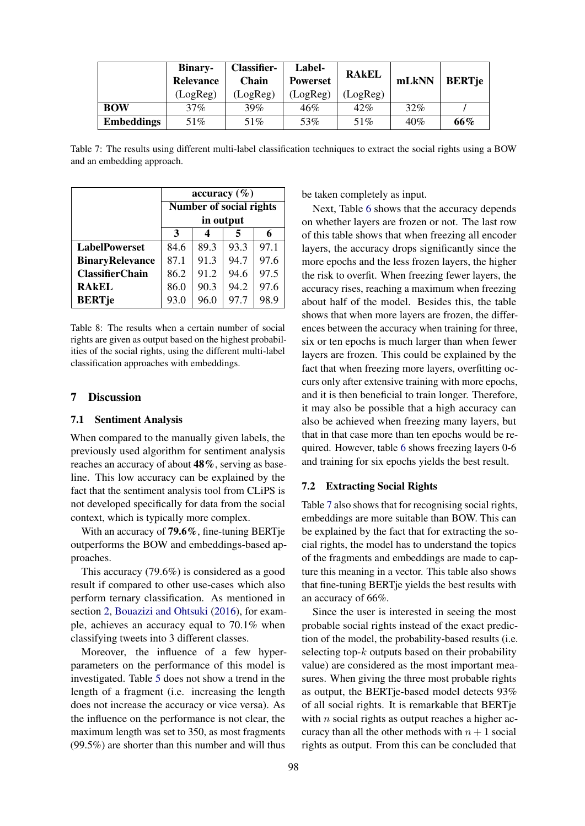<span id="page-7-0"></span>

|                   | <b>Binary-</b><br>Relevance | <b>Classifier-</b><br>Chain | <b>Label-</b><br><b>Powerset</b> | <b>RAKEL</b> | mLkNN | <b>BERTje</b> |
|-------------------|-----------------------------|-----------------------------|----------------------------------|--------------|-------|---------------|
|                   | (LogReg)                    | (LogReg)                    | (LogReg)                         | (LogReg)     |       |               |
| <b>BOW</b>        | 37%                         | $39\%$                      | 46%                              | 42%          | 32%   |               |
| <b>Embeddings</b> | 51%                         | 51%                         | 53%                              | 51%          | 40%   | 66%           |

Table 7: The results using different multi-label classification techniques to extract the social rights using a BOW and an embedding approach.

<span id="page-7-1"></span>

|                        | accuracy $(\% )$ |                         |      |      |  |  |
|------------------------|------------------|-------------------------|------|------|--|--|
|                        |                  | Number of social rights |      |      |  |  |
|                        | in output        |                         |      |      |  |  |
|                        | 3                |                         |      |      |  |  |
| <b>LabelPowerset</b>   | 84.6             | 89.3                    | 93.3 | 97.1 |  |  |
| <b>BinaryRelevance</b> | 87.1             | 91.3                    | 94.7 | 97.6 |  |  |
| <b>ClassifierChain</b> | 86.2             | 91.2                    | 94.6 | 97.5 |  |  |
| <b>RAKEL</b>           | 86.0             | 90.3                    | 94.2 | 97.6 |  |  |
| <b>BERTje</b>          | 93.0             | 96.0                    | 97.7 | 98.9 |  |  |

Table 8: The results when a certain number of social rights are given as output based on the highest probabilities of the social rights, using the different multi-label classification approaches with embeddings.

# 7 Discussion

#### 7.1 Sentiment Analysis

When compared to the manually given labels, the previously used algorithm for sentiment analysis reaches an accuracy of about 48%, serving as baseline. This low accuracy can be explained by the fact that the sentiment analysis tool from CLiPS is not developed specifically for data from the social context, which is typically more complex.

With an accuracy of 79.6%, fine-tuning BERTje outperforms the BOW and embeddings-based approaches.

This accuracy (79.6%) is considered as a good result if compared to other use-cases which also perform ternary classification. As mentioned in section [2,](#page-1-0) [Bouazizi and Ohtsuki](#page-8-7) [\(2016\)](#page-8-7), for example, achieves an accuracy equal to 70.1% when classifying tweets into 3 different classes.

Moreover, the influence of a few hyperparameters on the performance of this model is investigated. Table [5](#page-6-3) does not show a trend in the length of a fragment (i.e. increasing the length does not increase the accuracy or vice versa). As the influence on the performance is not clear, the maximum length was set to 350, as most fragments (99.5%) are shorter than this number and will thus

be taken completely as input.

Next, Table [6](#page-6-4) shows that the accuracy depends on whether layers are frozen or not. The last row of this table shows that when freezing all encoder layers, the accuracy drops significantly since the more epochs and the less frozen layers, the higher the risk to overfit. When freezing fewer layers, the accuracy rises, reaching a maximum when freezing about half of the model. Besides this, the table shows that when more layers are frozen, the differences between the accuracy when training for three, six or ten epochs is much larger than when fewer layers are frozen. This could be explained by the fact that when freezing more layers, overfitting occurs only after extensive training with more epochs, and it is then beneficial to train longer. Therefore, it may also be possible that a high accuracy can also be achieved when freezing many layers, but that in that case more than ten epochs would be required. However, table [6](#page-6-4) shows freezing layers 0-6 and training for six epochs yields the best result.

#### 7.2 Extracting Social Rights

Table [7](#page-7-0) also shows that for recognising social rights, embeddings are more suitable than BOW. This can be explained by the fact that for extracting the social rights, the model has to understand the topics of the fragments and embeddings are made to capture this meaning in a vector. This table also shows that fine-tuning BERTje yields the best results with an accuracy of 66%.

Since the user is interested in seeing the most probable social rights instead of the exact prediction of the model, the probability-based results (i.e. selecting top- $k$  outputs based on their probability value) are considered as the most important measures. When giving the three most probable rights as output, the BERTje-based model detects 93% of all social rights. It is remarkable that BERTje with  $n$  social rights as output reaches a higher accuracy than all the other methods with  $n + 1$  social rights as output. From this can be concluded that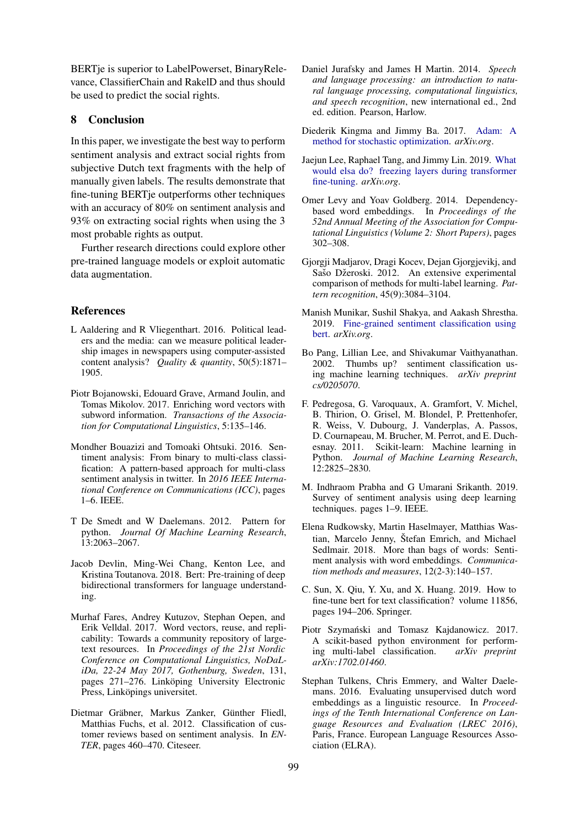BERTje is superior to LabelPowerset, BinaryRelevance, ClassifierChain and RakelD and thus should be used to predict the social rights.

## 8 Conclusion

In this paper, we investigate the best way to perform sentiment analysis and extract social rights from subjective Dutch text fragments with the help of manually given labels. The results demonstrate that fine-tuning BERTje outperforms other techniques with an accuracy of 80% on sentiment analysis and 93% on extracting social rights when using the 3 most probable rights as output.

Further research directions could explore other pre-trained language models or exploit automatic data augmentation.

## References

- <span id="page-8-0"></span>L Aaldering and R Vliegenthart. 2016. Political leaders and the media: can we measure political leadership images in newspapers using computer-assisted content analysis? *Quality & quantity*, 50(5):1871– 1905.
- <span id="page-8-17"></span>Piotr Bojanowski, Edouard Grave, Armand Joulin, and Tomas Mikolov. 2017. Enriching word vectors with subword information. *Transactions of the Association for Computational Linguistics*, 5:135–146.
- <span id="page-8-7"></span>Mondher Bouazizi and Tomoaki Ohtsuki. 2016. Sentiment analysis: From binary to multi-class classification: A pattern-based approach for multi-class sentiment analysis in twitter. In *2016 IEEE International Conference on Communications (ICC)*, pages 1–6. IEEE.
- <span id="page-8-12"></span>T De Smedt and W Daelemans. 2012. Pattern for python. *Journal Of Machine Learning Research*, 13:2063–2067.
- <span id="page-8-4"></span>Jacob Devlin, Ming-Wei Chang, Kenton Lee, and Kristina Toutanova. 2018. Bert: Pre-training of deep bidirectional transformers for language understanding.
- <span id="page-8-19"></span>Murhaf Fares, Andrey Kutuzov, Stephan Oepen, and Erik Velldal. 2017. Word vectors, reuse, and replicability: Towards a community repository of largetext resources. In *Proceedings of the 21st Nordic Conference on Computational Linguistics, NoDaLiDa, 22-24 May 2017, Gothenburg, Sweden*, 131, pages 271–276. Linköping University Electronic Press, Linköpings universitet.
- <span id="page-8-6"></span>Dietmar Gräbner, Markus Zanker, Günther Fliedl, Matthias Fuchs, et al. 2012. Classification of customer reviews based on sentiment analysis. In *EN-TER*, pages 460–470. Citeseer.
- <span id="page-8-10"></span>Daniel Jurafsky and James H Martin. 2014. *Speech and language processing: an introduction to natural language processing, computational linguistics, and speech recognition*, new international ed., 2nd ed. edition. Pearson, Harlow.
- <span id="page-8-13"></span>Diederik Kingma and Jimmy Ba. 2017. [Adam: A](http://search.proquest.com/docview/2075396516/) [method for stochastic optimization.](http://search.proquest.com/docview/2075396516/) *arXiv.org*.
- <span id="page-8-15"></span>Jaejun Lee, Raphael Tang, and Jimmy Lin. 2019. [What](http://search.proquest.com/docview/2313450815/) [would elsa do? freezing layers during transformer](http://search.proquest.com/docview/2313450815/) [fine-tuning.](http://search.proquest.com/docview/2313450815/) *arXiv.org*.
- <span id="page-8-11"></span>Omer Levy and Yoav Goldberg. 2014. Dependencybased word embeddings. In *Proceedings of the 52nd Annual Meeting of the Association for Computational Linguistics (Volume 2: Short Papers)*, pages 302–308.
- <span id="page-8-8"></span>Gjorgji Madjarov, Dragi Kocev, Dejan Gjorgjevikj, and Sašo Džeroski. 2012. An extensive experimental comparison of methods for multi-label learning. *Pattern recognition*, 45(9):3084–3104.
- <span id="page-8-5"></span>Manish Munikar, Sushil Shakya, and Aakash Shrestha. 2019. [Fine-grained sentiment classification using](http://search.proquest.com/docview/2302884095/) [bert.](http://search.proquest.com/docview/2302884095/) *arXiv.org*.
- <span id="page-8-1"></span>Bo Pang, Lillian Lee, and Shivakumar Vaithyanathan. 2002. Thumbs up? sentiment classification using machine learning techniques. *arXiv preprint cs/0205070*.
- <span id="page-8-16"></span>F. Pedregosa, G. Varoquaux, A. Gramfort, V. Michel, B. Thirion, O. Grisel, M. Blondel, P. Prettenhofer, R. Weiss, V. Dubourg, J. Vanderplas, A. Passos, D. Cournapeau, M. Brucher, M. Perrot, and E. Duchesnay. 2011. Scikit-learn: Machine learning in Python. *Journal of Machine Learning Research*, 12:2825–2830.
- <span id="page-8-3"></span>M. Indhraom Prabha and G Umarani Srikanth. 2019. Survey of sentiment analysis using deep learning techniques. pages 1–9. IEEE.
- <span id="page-8-2"></span>Elena Rudkowsky, Martin Haselmayer, Matthias Wastian, Marcelo Jenny, Štefan Emrich, and Michael Sedlmair. 2018. More than bags of words: Sentiment analysis with word embeddings. *Communication methods and measures*, 12(2-3):140–157.
- <span id="page-8-14"></span>C. Sun, X. Qiu, Y. Xu, and X. Huang. 2019. How to fine-tune bert for text classification? volume 11856, pages 194–206. Springer.
- <span id="page-8-9"></span>Piotr Szymański and Tomasz Kajdanowicz. 2017. A scikit-based python environment for performing multi-label classification. *arXiv preprint arXiv:1702.01460*.
- <span id="page-8-18"></span>Stephan Tulkens, Chris Emmery, and Walter Daelemans. 2016. Evaluating unsupervised dutch word embeddings as a linguistic resource. In *Proceedings of the Tenth International Conference on Language Resources and Evaluation (LREC 2016)*, Paris, France. European Language Resources Association (ELRA).